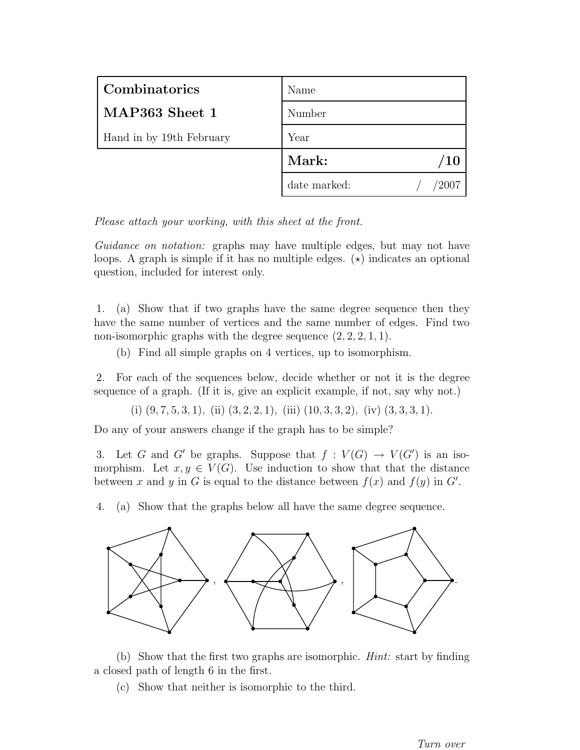| Combinatorics            | Name         |
|--------------------------|--------------|
| MAP363 Sheet 1           | Number       |
| Hand in by 19th February | Year         |
|                          | Mark:<br>/10 |
|                          | date marked: |

Guidance on notation: graphs may have multiple edges, but may not have loops. A graph is simple if it has no multiple edges.  $(\star)$  indicates an optional question, included for interest only.

1. (a) Show that if two graphs have the same degree sequence then they have the same number of vertices and the same number of edges. Find two non-isomorphic graphs with the degree sequence  $(2, 2, 2, 1, 1)$ .

(b) Find all simple graphs on 4 vertices, up to isomorphism.

2. For each of the sequences below, decide whether or not it is the degree sequence of a graph. (If it is, give an explicit example, if not, say why not.)

(i)  $(9, 7, 5, 3, 1)$ , (ii)  $(3, 2, 2, 1)$ , (iii)  $(10, 3, 3, 2)$ , (iv)  $(3, 3, 3, 1)$ .

Do any of your answers change if the graph has to be simple?

3. Let G and G' be graphs. Suppose that  $f: V(G) \to V(G')$  is an isomorphism. Let  $x, y \in V(G)$ . Use induction to show that that the distance between x and y in G is equal to the distance between  $f(x)$  and  $f(y)$  in G'.

4. (a) Show that the graphs below all have the same degree sequence.



(b) Show that the first two graphs are isomorphic. Hint: start by finding a closed path of length 6 in the first.

(c) Show that neither is isomorphic to the third.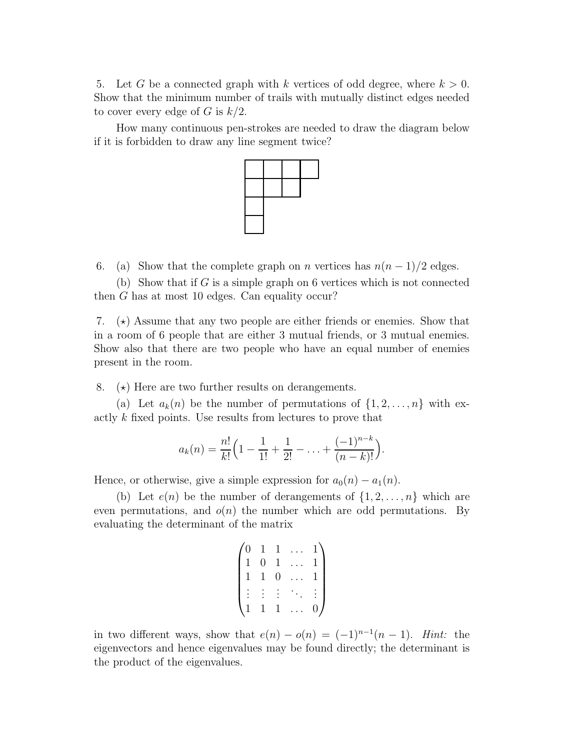5. Let G be a connected graph with k vertices of odd degree, where  $k > 0$ . Show that the minimum number of trails with mutually distinct edges needed to cover every edge of G is  $k/2$ .

How many continuous pen-strokes are needed to draw the diagram below if it is forbidden to draw any line segment twice?



6. (a) Show that the complete graph on *n* vertices has  $n(n-1)/2$  edges.

(b) Show that if G is a simple graph on 6 vertices which is not connected then G has at most 10 edges. Can equality occur?

7.  $(\star)$  Assume that any two people are either friends or enemies. Show that in a room of 6 people that are either 3 mutual friends, or 3 mutual enemies. Show also that there are two people who have an equal number of enemies present in the room.

8.  $(\star)$  Here are two further results on derangements.

(a) Let  $a_k(n)$  be the number of permutations of  $\{1, 2, \ldots, n\}$  with exactly k fixed points. Use results from lectures to prove that

$$
a_k(n) = \frac{n!}{k!} \left(1 - \frac{1}{1!} + \frac{1}{2!} - \ldots + \frac{(-1)^{n-k}}{(n-k)!}\right).
$$

Hence, or otherwise, give a simple expression for  $a_0(n) - a_1(n)$ .

(b) Let  $e(n)$  be the number of derangements of  $\{1, 2, \ldots, n\}$  which are even permutations, and  $o(n)$  the number which are odd permutations. By evaluating the determinant of the matrix

$$
\begin{pmatrix} 0 & 1 & 1 & \dots & 1 \\ 1 & 0 & 1 & \dots & 1 \\ 1 & 1 & 0 & \dots & 1 \\ \vdots & \vdots & \vdots & \ddots & \vdots \\ 1 & 1 & 1 & \dots & 0 \end{pmatrix}
$$

in two different ways, show that  $e(n) - o(n) = (-1)^{n-1}(n-1)$ . Hint: the eigenvectors and hence eigenvalues may be found directly; the determinant is the product of the eigenvalues.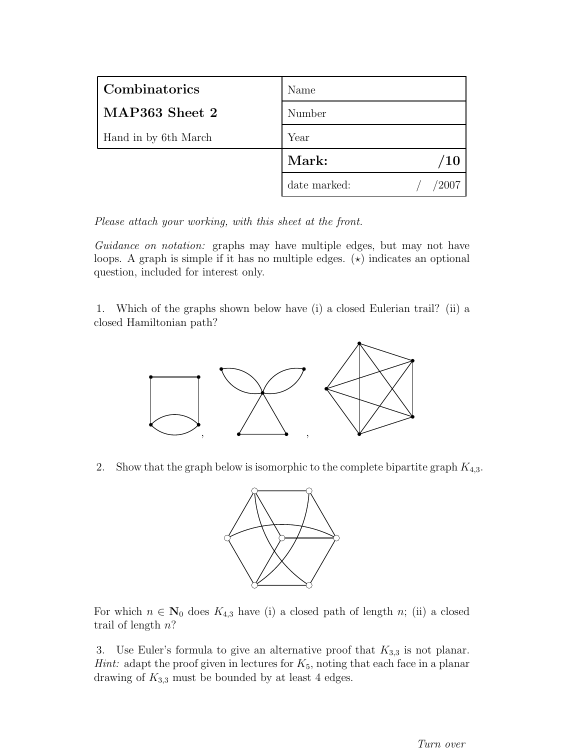| Combinatorics        | Name         |
|----------------------|--------------|
| MAP363 Sheet 2       | Number       |
| Hand in by 6th March | Year         |
|                      | Mark:<br>'10 |
|                      | date marked: |

Guidance on notation: graphs may have multiple edges, but may not have loops. A graph is simple if it has no multiple edges.  $(\star)$  indicates an optional question, included for interest only.

1. Which of the graphs shown below have (i) a closed Eulerian trail? (ii) a closed Hamiltonian path?



2. Show that the graph below is isomorphic to the complete bipartite graph  $K_{4,3}$ .



For which  $n \in \mathbb{N}_0$  does  $K_{4,3}$  have (i) a closed path of length n; (ii) a closed trail of length  $n$ ?

3. Use Euler's formula to give an alternative proof that  $K_{3,3}$  is not planar. *Hint*: adapt the proof given in lectures for  $K_5$ , noting that each face in a planar drawing of  $K_{3,3}$  must be bounded by at least 4 edges.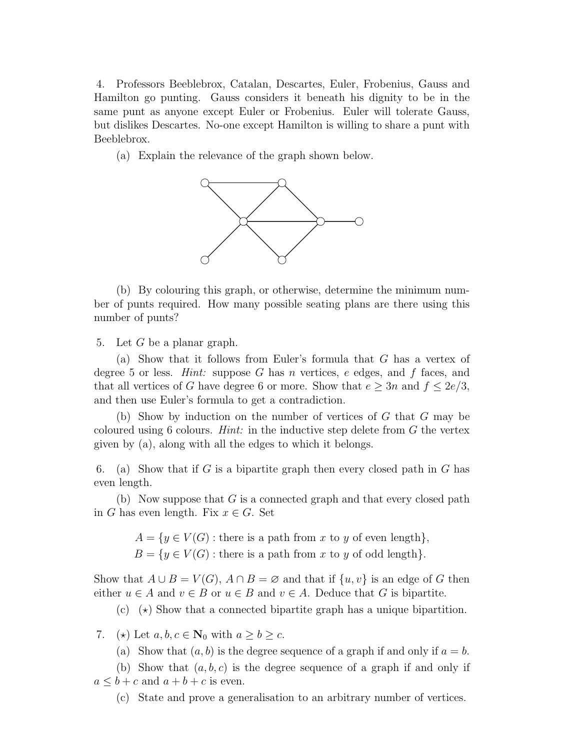4. Professors Beeblebrox, Catalan, Descartes, Euler, Frobenius, Gauss and Hamilton go punting. Gauss considers it beneath his dignity to be in the same punt as anyone except Euler or Frobenius. Euler will tolerate Gauss, but dislikes Descartes. No-one except Hamilton is willing to share a punt with Beeblebrox.

(a) Explain the relevance of the graph shown below.



(b) By colouring this graph, or otherwise, determine the minimum number of punts required. How many possible seating plans are there using this number of punts?

5. Let  $G$  be a planar graph.

(a) Show that it follows from Euler's formula that G has a vertex of degree 5 or less. *Hint:* suppose G has n vertices, e edges, and f faces, and that all vertices of G have degree 6 or more. Show that  $e \geq 3n$  and  $f \leq 2e/3$ , and then use Euler's formula to get a contradiction.

(b) Show by induction on the number of vertices of  $G$  that  $G$  may be coloured using 6 colours. *Hint*: in the inductive step delete from  $G$  the vertex given by (a), along with all the edges to which it belongs.

6. (a) Show that if G is a bipartite graph then every closed path in G has even length.

(b) Now suppose that  $G$  is a connected graph and that every closed path in G has even length. Fix  $x \in G$ . Set

 $A = \{y \in V(G) : \text{there is a path from } x \text{ to } y \text{ of even length}\},\$ 

 $B = \{y \in V(G) : \text{there is a path from } x \text{ to } y \text{ of odd length}\}.$ 

Show that  $A \cup B = V(G)$ ,  $A \cap B = \emptyset$  and that if  $\{u, v\}$  is an edge of G then either  $u \in A$  and  $v \in B$  or  $u \in B$  and  $v \in A$ . Deduce that G is bipartite.

(c)  $\star$  Show that a connected bipartite graph has a unique bipartition.

7. (\*) Let  $a, b, c \in \mathbb{N}_0$  with  $a \ge b \ge c$ .

(a) Show that  $(a, b)$  is the degree sequence of a graph if and only if  $a = b$ .

(b) Show that  $(a, b, c)$  is the degree sequence of a graph if and only if  $a \leq b + c$  and  $a + b + c$  is even.

(c) State and prove a generalisation to an arbitrary number of vertices.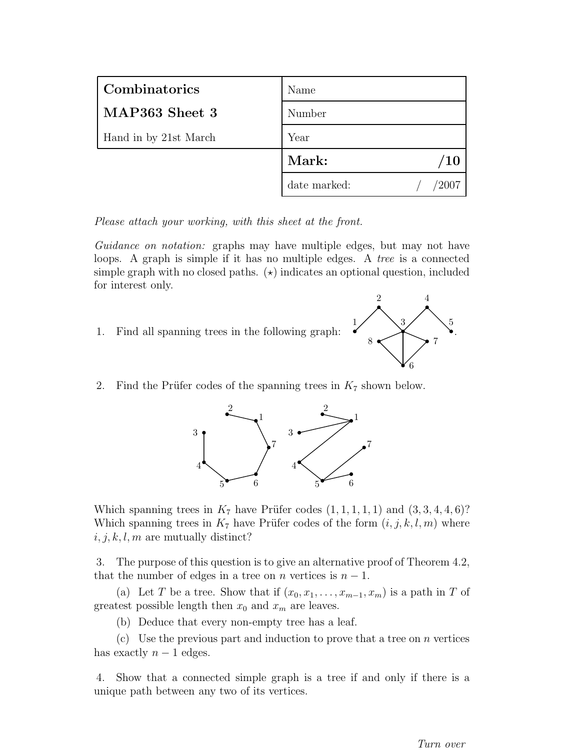| Combinatorics         | Name                     |
|-----------------------|--------------------------|
| MAP363 Sheet 3        | Number                   |
| Hand in by 21st March | Year                     |
|                       | Mark:<br>$\overline{10}$ |
|                       | date marked:             |

Guidance on notation: graphs may have multiple edges, but may not have loops. A graph is simple if it has no multiple edges. A tree is a connected simple graph with no closed paths.  $(\star)$  indicates an optional question, included for interest only.

1. Find all spanning trees in the following graph:



2. Find the Prüfer codes of the spanning trees in  $K_7$  shown below.



Which spanning trees in  $K_7$  have Prüfer codes  $(1, 1, 1, 1, 1)$  and  $(3, 3, 4, 4, 6)$ ? Which spanning trees in  $K_7$  have Prüfer codes of the form  $(i, j, k, l, m)$  where  $i, j, k, l, m$  are mutually distinct?

3. The purpose of this question is to give an alternative proof of Theorem 4.2, that the number of edges in a tree on *n* vertices is  $n - 1$ .

(a) Let T be a tree. Show that if  $(x_0, x_1, \ldots, x_{m-1}, x_m)$  is a path in T of greatest possible length then  $x_0$  and  $x_m$  are leaves.

(b) Deduce that every non-empty tree has a leaf.

(c) Use the previous part and induction to prove that a tree on  $n$  vertices has exactly  $n-1$  edges.

4. Show that a connected simple graph is a tree if and only if there is a unique path between any two of its vertices.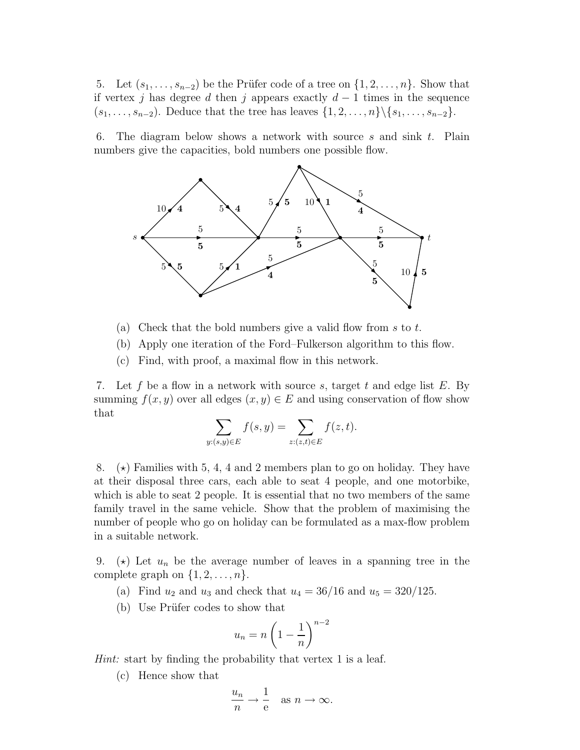5. Let  $(s_1, \ldots, s_{n-2})$  be the Prüfer code of a tree on  $\{1, 2, \ldots, n\}$ . Show that if vertex j has degree d then j appears exactly  $d-1$  times in the sequence  $(s_1, \ldots, s_{n-2})$ . Deduce that the tree has leaves  $\{1, 2, \ldots, n\} \setminus \{s_1, \ldots, s_{n-2}\}.$ 

6. The diagram below shows a network with source s and sink  $t$ . Plain numbers give the capacities, bold numbers one possible flow.



- (a) Check that the bold numbers give a valid flow from  $s$  to  $t$ .
- (b) Apply one iteration of the Ford–Fulkerson algorithm to this flow.
- (c) Find, with proof, a maximal flow in this network.

7. Let f be a flow in a network with source s, target t and edge list  $E$ . By summing  $f(x, y)$  over all edges  $(x, y) \in E$  and using conservation of flow show that

$$
\sum_{y:(s,y)\in E} f(s,y) = \sum_{z:(z,t)\in E} f(z,t).
$$

8.  $(\star)$  Families with 5, 4, 4 and 2 members plan to go on holiday. They have at their disposal three cars, each able to seat 4 people, and one motorbike, which is able to seat 2 people. It is essential that no two members of the same family travel in the same vehicle. Show that the problem of maximising the number of people who go on holiday can be formulated as a max-flow problem in a suitable network.

9. ( $\star$ ) Let  $u_n$  be the average number of leaves in a spanning tree in the complete graph on  $\{1, 2, \ldots, n\}$ .

- (a) Find  $u_2$  and  $u_3$  and check that  $u_4 = 36/16$  and  $u_5 = 320/125$ .
- (b) Use Prüfer codes to show that

$$
u_n = n \left( 1 - \frac{1}{n} \right)^{n-2}
$$

Hint: start by finding the probability that vertex 1 is a leaf.

(c) Hence show that

$$
\frac{u_n}{n} \to \frac{1}{e} \quad \text{as } n \to \infty.
$$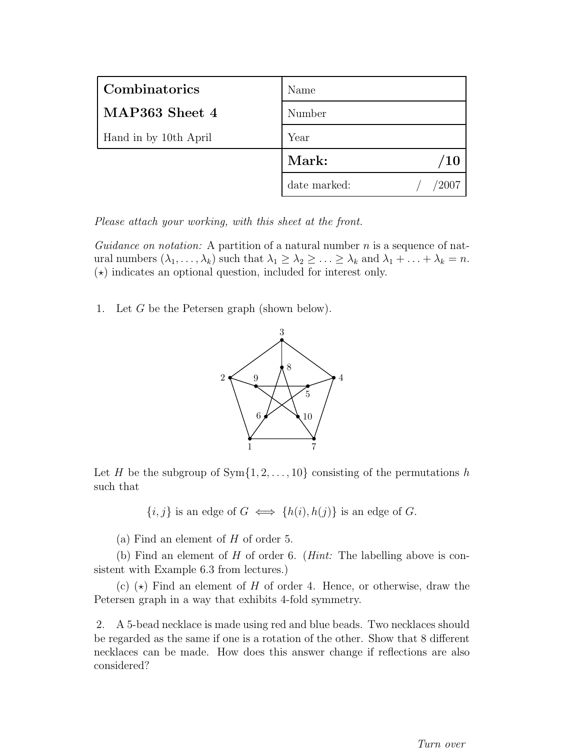| Combinatorics         | Name         |
|-----------------------|--------------|
| MAP363 Sheet 4        | Number       |
| Hand in by 10th April | Year         |
|                       | Mark:<br>10  |
|                       | date marked: |

Guidance on notation: A partition of a natural number  $n$  is a sequence of natural numbers  $(\lambda_1, \ldots, \lambda_k)$  such that  $\lambda_1 \geq \lambda_2 \geq \ldots \geq \lambda_k$  and  $\lambda_1 + \ldots + \lambda_k = n$ .  $(\star)$  indicates an optional question, included for interest only.

1. Let G be the Petersen graph (shown below).



Let H be the subgroup of  $Sym{1, 2, ..., 10}$  consisting of the permutations h such that

 ${i, j}$  is an edge of  $G \iff \{h(i), h(j)\}\$ is an edge of  $G$ .

(a) Find an element of  $H$  of order 5.

(b) Find an element of H of order 6. (Hint: The labelling above is consistent with Example 6.3 from lectures.)

(c)  $(\star)$  Find an element of H of order 4. Hence, or otherwise, draw the Petersen graph in a way that exhibits 4-fold symmetry.

2. A 5-bead necklace is made using red and blue beads. Two necklaces should be regarded as the same if one is a rotation of the other. Show that 8 different necklaces can be made. How does this answer change if reflections are also considered?